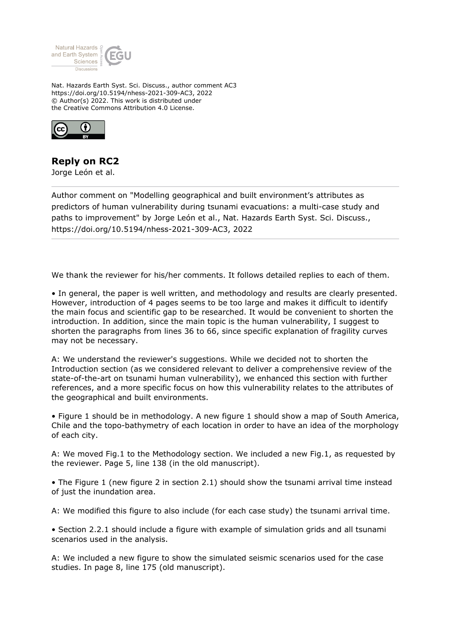

Nat. Hazards Earth Syst. Sci. Discuss., author comment AC3 https://doi.org/10.5194/nhess-2021-309-AC3, 2022 © Author(s) 2022. This work is distributed under the Creative Commons Attribution 4.0 License.



## **Reply on RC2**

Jorge León et al.

Author comment on "Modelling geographical and built environment's attributes as predictors of human vulnerability during tsunami evacuations: a multi-case study and paths to improvement" by Jorge León et al., Nat. Hazards Earth Syst. Sci. Discuss., https://doi.org/10.5194/nhess-2021-309-AC3, 2022

We thank the reviewer for his/her comments. It follows detailed replies to each of them.

• In general, the paper is well written, and methodology and results are clearly presented. However, introduction of 4 pages seems to be too large and makes it difficult to identify the main focus and scientific gap to be researched. It would be convenient to shorten the introduction. In addition, since the main topic is the human vulnerability, I suggest to shorten the paragraphs from lines 36 to 66, since specific explanation of fragility curves may not be necessary.

A: We understand the reviewer's suggestions. While we decided not to shorten the Introduction section (as we considered relevant to deliver a comprehensive review of the state-of-the-art on tsunami human vulnerability), we enhanced this section with further references, and a more specific focus on how this vulnerability relates to the attributes of the geographical and built environments.

• Figure 1 should be in methodology. A new figure 1 should show a map of South America, Chile and the topo-bathymetry of each location in order to have an idea of the morphology of each city.

A: We moved Fig.1 to the Methodology section. We included a new Fig.1, as requested by the reviewer. Page 5, line 138 (in the old manuscript).

• The Figure 1 (new figure 2 in section 2.1) should show the tsunami arrival time instead of just the inundation area.

A: We modified this figure to also include (for each case study) the tsunami arrival time.

• Section 2.2.1 should include a figure with example of simulation grids and all tsunami scenarios used in the analysis.

A: We included a new figure to show the simulated seismic scenarios used for the case studies. In page 8, line 175 (old manuscript).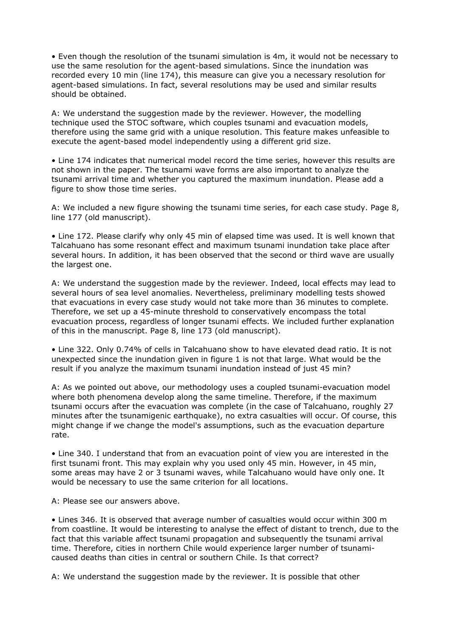• Even though the resolution of the tsunami simulation is 4m, it would not be necessary to use the same resolution for the agent-based simulations. Since the inundation was recorded every 10 min (line 174), this measure can give you a necessary resolution for agent-based simulations. In fact, several resolutions may be used and similar results should be obtained.

A: We understand the suggestion made by the reviewer. However, the modelling technique used the STOC software, which couples tsunami and evacuation models, therefore using the same grid with a unique resolution. This feature makes unfeasible to execute the agent-based model independently using a different grid size.

• Line 174 indicates that numerical model record the time series, however this results are not shown in the paper. The tsunami wave forms are also important to analyze the tsunami arrival time and whether you captured the maximum inundation. Please add a figure to show those time series.

A: We included a new figure showing the tsunami time series, for each case study. Page 8, line 177 (old manuscript).

• Line 172. Please clarify why only 45 min of elapsed time was used. It is well known that Talcahuano has some resonant effect and maximum tsunami inundation take place after several hours. In addition, it has been observed that the second or third wave are usually the largest one.

A: We understand the suggestion made by the reviewer. Indeed, local effects may lead to several hours of sea level anomalies. Nevertheless, preliminary modelling tests showed that evacuations in every case study would not take more than 36 minutes to complete. Therefore, we set up a 45-minute threshold to conservatively encompass the total evacuation process, regardless of longer tsunami effects. We included further explanation of this in the manuscript. Page 8, line 173 (old manuscript).

• Line 322. Only 0.74% of cells in Talcahuano show to have elevated dead ratio. It is not unexpected since the inundation given in figure 1 is not that large. What would be the result if you analyze the maximum tsunami inundation instead of just 45 min?

A: As we pointed out above, our methodology uses a coupled tsunami-evacuation model where both phenomena develop along the same timeline. Therefore, if the maximum tsunami occurs after the evacuation was complete (in the case of Talcahuano, roughly 27 minutes after the tsunamigenic earthquake), no extra casualties will occur. Of course, this might change if we change the model's assumptions, such as the evacuation departure rate.

• Line 340. I understand that from an evacuation point of view you are interested in the first tsunami front. This may explain why you used only 45 min. However, in 45 min, some areas may have 2 or 3 tsunami waves, while Talcahuano would have only one. It would be necessary to use the same criterion for all locations.

A: Please see our answers above.

• Lines 346. It is observed that average number of casualties would occur within 300 m from coastline. It would be interesting to analyse the effect of distant to trench, due to the fact that this variable affect tsunami propagation and subsequently the tsunami arrival time. Therefore, cities in northern Chile would experience larger number of tsunamicaused deaths than cities in central or southern Chile. Is that correct?

A: We understand the suggestion made by the reviewer. It is possible that other